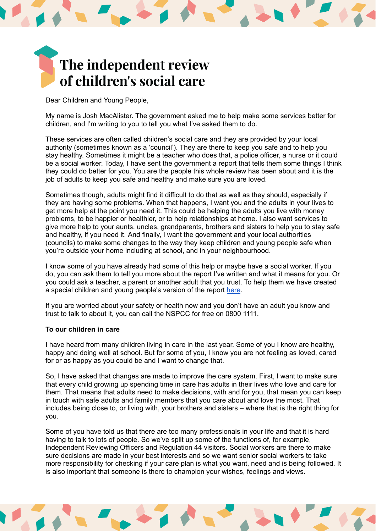## The independent review of children's social care

Dear Children and Young People,

My name is Josh MacAlister. The government asked me to help make some services better for children, and I'm writing to you to tell you what I've asked them to do.

These services are often called children's social care and they are provided by your local authority (sometimes known as a 'council'). They are there to keep you safe and to help you stay healthy. Sometimes it might be a teacher who does that, a police officer, a nurse or it could be a social worker. Today, I have sent the government a report that tells them some things I think they could do better for you. You are the people this whole review has been about and it is the job of adults to keep you safe and healthy and make sure you are loved.

Sometimes though, adults might find it difficult to do that as well as they should, especially if they are having some problems. When that happens, I want you and the adults in your lives to get more help at the point you need it. This could be helping the adults you live with money problems, to be happier or healthier, or to help relationships at home. I also want services to give more help to your aunts, uncles, grandparents, brothers and sisters to help you to stay safe and healthy, if you need it. And finally, I want the government and your local authorities (councils) to make some changes to the way they keep children and young people safe when you're outside your home including at school, and in your neighbourhood.

I know some of you have already had some of this help or maybe have a social worker. If you do, you can ask them to tell you more about the report I've written and what it means for you. Or you could ask a teacher, a parent or another adult that you trust. To help them we have created a special children and young people's version of the report [here.](http://childrenssocialcare.independent-review.uk/YoungPeople_Toolkit)

If you are worried about your safety or health now and you don't have an adult you know and trust to talk to about it, you can call the NSPCC for free on 0800 1111.

## **To our children in care**

I have heard from many children living in care in the last year. Some of you I know are healthy, happy and doing well at school. But for some of you, I know you are not feeling as loved, cared for or as happy as you could be and I want to change that.

So, I have asked that changes are made to improve the care system. First, I want to make sure that every child growing up spending time in care has adults in their lives who love and care for them. That means that adults need to make decisions, with and for you, that mean you can keep in touch with safe adults and family members that you care about and love the most. That includes being close to, or living with, your brothers and sisters – where that is the right thing for you.

Some of you have told us that there are too many professionals in your life and that it is hard having to talk to lots of people. So we've split up some of the functions of, for example, Independent Reviewing Officers and Regulation 44 visitors. Social workers are there to make sure decisions are made in your best interests and so we want senior social workers to take more responsibility for checking if your care plan is what you want, need and is being followed. It is also important that someone is there to champion your wishes, feelings and views.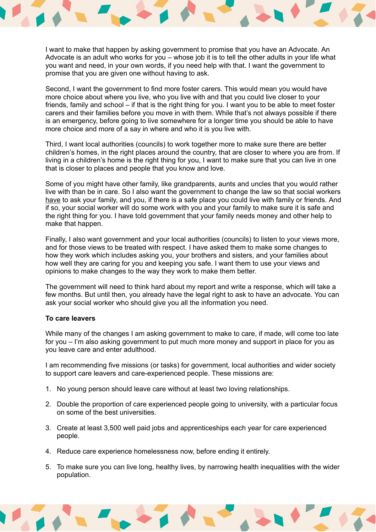I want to make that happen by asking government to promise that you have an Advocate. An Advocate is an adult who works for you – whose job it is to tell the other adults in your life what you want and need, in your own words, if you need help with that. I want the government to promise that you are given one without having to ask.

Second, I want the government to find more foster carers. This would mean you would have more choice about where you live, who you live with and that you could live closer to your friends, family and school – if that is the right thing for you. I want you to be able to meet foster carers and their families before you move in with them. While that's not always possible if there is an emergency, before going to live somewhere for a longer time you should be able to have more choice and more of a say in where and who it is you live with.

Third, I want local authorities (councils) to work together more to make sure there are better children's homes, in the right places around the country, that are closer to where you are from. If living in a children's home is the right thing for you, I want to make sure that you can live in one that is closer to places and people that you know and love.

Some of you might have other family, like grandparents, aunts and uncles that you would rather live with than be in care. So I also want the government to change the law so that social workers have to ask your family, and you, if there is a safe place you could live with family or friends. And if so, your social worker will do some work with you and your family to make sure it is safe and the right thing for you. I have told government that your family needs money and other help to make that happen.

Finally, I also want government and your local authorities (councils) to listen to your views more, and for those views to be treated with respect. I have asked them to make some changes to how they work which includes asking you, your brothers and sisters, and your families about how well they are caring for you and keeping you safe. I want them to use your views and opinions to make changes to the way they work to make them better.

The government will need to think hard about my report and write a response, which will take a few months. But until then, you already have the legal right to ask to have an advocate. You can ask your social worker who should give you all the information you need.

## **To care leavers**

While many of the changes I am asking government to make to care, if made, will come too late for you – I'm also asking government to put much more money and support in place for you as you leave care and enter adulthood.

I am recommending five missions (or tasks) for government, local authorities and wider society to support care leavers and care-experienced people. These missions are:

- 1. No young person should leave care without at least two loving relationships.
- 2. Double the proportion of care experienced people going to university, with a particular focus on some of the best universities.
- 3. Create at least 3,500 well paid jobs and apprenticeships each year for care experienced people.
- 4. Reduce care experience homelessness now, before ending it entirely.
- 5. To make sure you can live long, healthy lives, by narrowing health inequalities with the wider population.